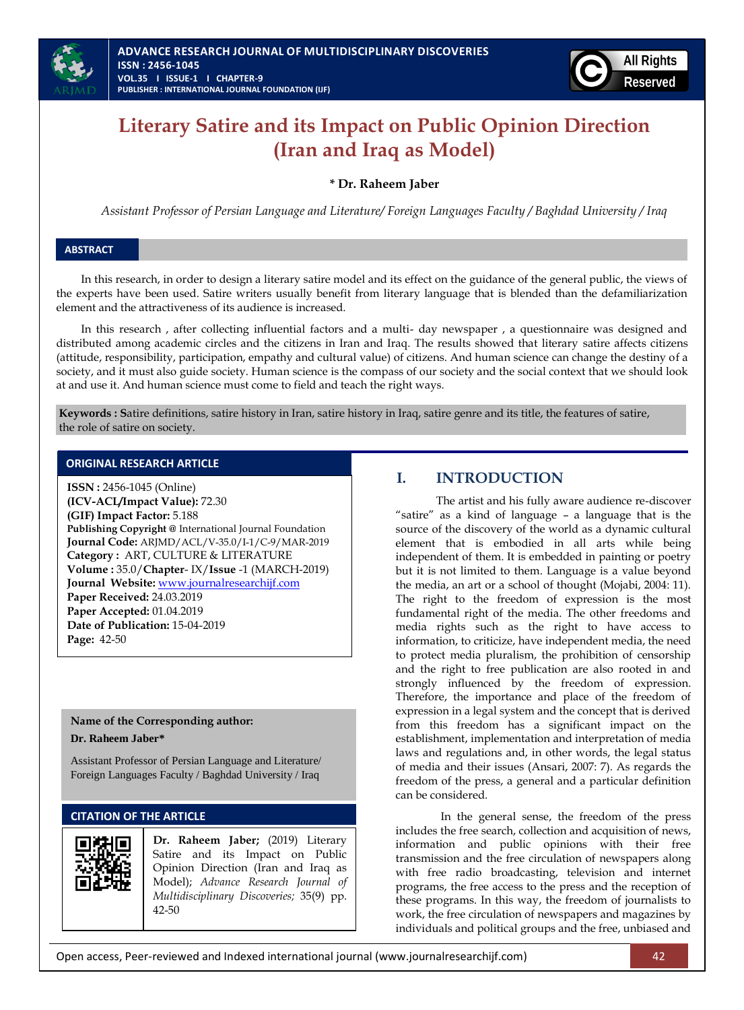

# **Literary Satire and its Impact on Public Opinion Direction (Iran and Iraq as Model)**

# **\* Dr. Raheem Jaber**

*Assistant Professor of Persian Language and Literature/ Foreign Languages Faculty / Baghdad University / Iraq*

## **ABSTRACT**

In this research, in order to design a literary satire model and its effect on the guidance of the general public, the views of the experts have been used. Satire writers usually benefit from literary language that is blended than the defamiliarization element and the attractiveness of its audience is increased.

In this research , after collecting influential factors and a multi- day newspaper , a questionnaire was designed and distributed among academic circles and the citizens in Iran and Iraq. The results showed that literary satire affects citizens (attitude, responsibility, participation, empathy and cultural value) of citizens. And human science can change the destiny of a society, and it must also guide society. Human science is the compass of our society and the social context that we should look at and use it. And human science must come to field and teach the right ways.

**Keywords : S**atire definitions, satire history in Iran, satire history in Iraq, satire genre and its title, the features of satire, the role of satire on society.

# **ORIGINAL RESEARCH ARTICLE**

**ISSN :** 2456-1045 (Online) **(ICV-ACL/Impact Value):** 72.30 **(GIF) Impact Factor:** 5.188 **Publishing Copyright @** International Journal Foundation **Journal Code:** ARJMD/ACL/V-35.0/I-1/C-9/MAR-2019 **Category :** ART, CULTURE & LITERATURE **Volume :** 35.0/**Chapter**- IX/**Issue** -1 (MARCH-2019) **Journal Website:** [www.journalresearchijf.com](http://www.journalresearchijf.com/) **Paper Received:** 24.03.2019 **Paper Accepted:** 01.04.2019 **Date of Publication:** 15-04-2019 **Page:** 42-50

## **Name of the Corresponding author:**

**Dr. Raheem Jaber\***

Assistant Professor of Persian Language and Literature/ Foreign Languages Faculty / Baghdad University / Iraq

## **CITATION OF THE ARTICLE**



**Dr. Raheem Jaber;** (2019) Literary Satire and its Impact on Public Opinion Direction (Iran and Iraq as Model); *Advance Research Journal of Multidisciplinary Discoveries;* 35(9) pp. 42-50

# **I. INTRODUCTION**

The artist and his fully aware audience re-discover "satire" as a kind of language – a language that is the source of the discovery of the world as a dynamic cultural element that is embodied in all arts while being independent of them. It is embedded in painting or poetry but it is not limited to them. Language is a value beyond the media, an art or a school of thought (Mojabi, 2004: 11). The right to the freedom of expression is the most fundamental right of the media. The other freedoms and media rights such as the right to have access to information, to criticize, have independent media, the need to protect media pluralism, the prohibition of censorship and the right to free publication are also rooted in and strongly influenced by the freedom of expression. Therefore, the importance and place of the freedom of expression in a legal system and the concept that is derived from this freedom has a significant impact on the establishment, implementation and interpretation of media laws and regulations and, in other words, the legal status of media and their issues (Ansari, 2007: 7). As regards the freedom of the press, a general and a particular definition can be considered.

In the general sense, the freedom of the press includes the free search, collection and acquisition of news, information and public opinions with their free transmission and the free circulation of newspapers along with free radio broadcasting, television and internet programs, the free access to the press and the reception of these programs. In this way, the freedom of journalists to work, the free circulation of newspapers and magazines by individuals and political groups and the free, unbiased and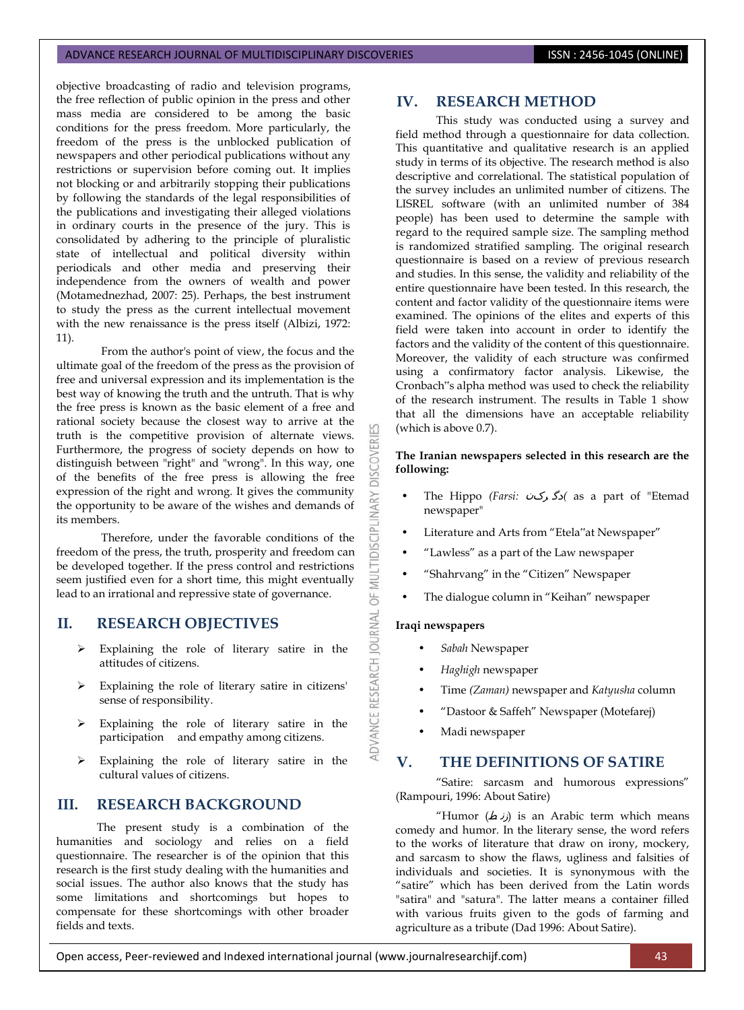objective broadcasting of radio and television programs, the free reflection of public opinion in the press and other mass media are considered to be among the basic conditions for the press freedom. More particularly, the freedom of the press is the unblocked publication of newspapers and other periodical publications without any restrictions or supervision before coming out. It implies not blocking or and arbitrarily stopping their publications by following the standards of the legal responsibilities of the publications and investigating their alleged violations in ordinary courts in the presence of the jury. This is consolidated by adhering to the principle of pluralistic state of intellectual and political diversity within periodicals and other media and preserving their independence from the owners of wealth and power (Motamednezhad, 2007: 25). Perhaps, the best instrument to study the press as the current intellectual movement with the new renaissance is the press itself (Albizi, 1972: 11).

From the author's point of view, the focus and the ultimate goal of the freedom of the press as the provision of free and universal expression and its implementation is the best way of knowing the truth and the untruth. That is why the free press is known as the basic element of a free and rational society because the closest way to arrive at the truth is the competitive provision of alternate views. Furthermore, the progress of society depends on how to distinguish between "right" and "wrong". In this way, one of the benefits of the free press is allowing the free expression of the right and wrong. It gives the community the opportunity to be aware of the wishes and demands of its members.

Therefore, under the favorable conditions of the freedom of the press, the truth, prosperity and freedom can be developed together. If the press control and restrictions seem justified even for a short time, this might eventually lead to an irrational and repressive state of governance.

# **II. RESEARCH OBJECTIVES**

- $\triangleright$  Explaining the role of literary satire in the attitudes of citizens.
- Explaining the role of literary satire in citizens' sense of responsibility.
- Explaining the role of literary satire in the participation and empathy among citizens.
- Explaining the role of literary satire in the cultural values of citizens.

# **III. RESEARCH BACKGROUND**

The present study is a combination of the humanities and sociology and relies on a field questionnaire. The researcher is of the opinion that this research is the first study dealing with the humanities and social issues. The author also knows that the study has some limitations and shortcomings but hopes to compensate for these shortcomings with other broader fields and texts.

# **IV. RESEARCH METHOD**

This study was conducted using a survey and field method through a questionnaire for data collection. This quantitative and qualitative research is an applied study in terms of its objective. The research method is also descriptive and correlational. The statistical population of the survey includes an unlimited number of citizens. The LISREL software (with an unlimited number of 384 people) has been used to determine the sample with regard to the required sample size. The sampling method is randomized stratified sampling. The original research questionnaire is based on a review of previous research and studies. In this sense, the validity and reliability of the entire questionnaire have been tested. In this research, the content and factor validity of the questionnaire items were examined. The opinions of the elites and experts of this field were taken into account in order to identify the factors and the validity of the content of this questionnaire. Moreover, the validity of each structure was confirmed using a confirmatory factor analysis. Likewise, the Cronbach"s alpha method was used to check the reliability of the research instrument. The results in Table 1 show that all the dimensions have an acceptable reliability (which is above 0.7).

## **The Iranian newspapers selected in this research are the following:**

- The Hippo *(Farsi:* رکن دگ *)*as a part of "Etemad newspaper"
- Literature and Arts from "Etela"at Newspaper"
- "Lawless" as a part of the Law newspaper
- "Shahrvang" in the "Citizen" Newspaper
- The dialogue column in "Keihan" newspaper

## **Iraqi newspapers**

**DISCOVERI** 

MULTIDISCIPLINARY

 $\overline{a}$ 

ADVANCE RESEARCH JOURNAL

- *Sabah* Newspaper
- *Haghigh* newspaper
- Time *(Zaman)* newspaper and *Katyusha* column
- "Dastoor & Saffeh" Newspaper (Motefarej)
- Madi newspaper

# **V. THE DEFINITIONS OF SATIRE**

"Satire: sarcasm and humorous expressions" (Rampouri, 1996: About Satire)

"Humor (زنط) is an Arabic term which means comedy and humor. In the literary sense, the word refers to the works of literature that draw on irony, mockery, and sarcasm to show the flaws, ugliness and falsities of individuals and societies. It is synonymous with the "satire" which has been derived from the Latin words "satira" and "satura". The latter means a container filled with various fruits given to the gods of farming and agriculture as a tribute (Dad 1996: About Satire).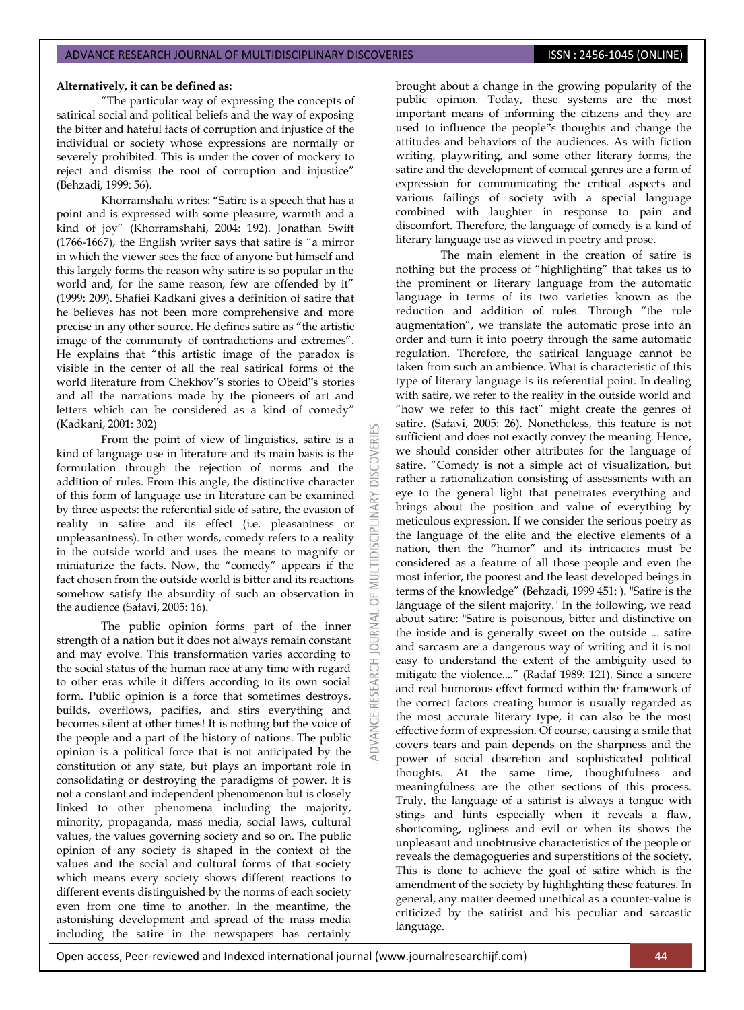## **Alternatively, it can be defined as:**

"The particular way of expressing the concepts of satirical social and political beliefs and the way of exposing the bitter and hateful facts of corruption and injustice of the individual or society whose expressions are normally or severely prohibited. This is under the cover of mockery to reject and dismiss the root of corruption and injustice" (Behzadi, 1999: 56).

Khorramshahi writes: "Satire is a speech that has a point and is expressed with some pleasure, warmth and a kind of joy" (Khorramshahi, 2004: 192). Jonathan Swift (1766-1667), the English writer says that satire is "a mirror in which the viewer sees the face of anyone but himself and this largely forms the reason why satire is so popular in the world and, for the same reason, few are offended by it" (1999: 209). Shafiei Kadkani gives a definition of satire that he believes has not been more comprehensive and more precise in any other source. He defines satire as "the artistic image of the community of contradictions and extremes". He explains that "this artistic image of the paradox is visible in the center of all the real satirical forms of the world literature from Chekhov"s stories to Obeid"s stories and all the narrations made by the pioneers of art and letters which can be considered as a kind of comedy" (Kadkani, 2001: 302)

From the point of view of linguistics, satire is a kind of language use in literature and its main basis is the formulation through the rejection of norms and the addition of rules. From this angle, the distinctive character of this form of language use in literature can be examined by three aspects: the referential side of satire, the evasion of reality in satire and its effect (i.e. pleasantness or unpleasantness). In other words, comedy refers to a reality in the outside world and uses the means to magnify or miniaturize the facts. Now, the "comedy" appears if the fact chosen from the outside world is bitter and its reactions somehow satisfy the absurdity of such an observation in the audience (Safavi, 2005: 16).

The public opinion forms part of the inner strength of a nation but it does not always remain constant and may evolve. This transformation varies according to the social status of the human race at any time with regard to other eras while it differs according to its own social form. Public opinion is a force that sometimes destroys, builds, overflows, pacifies, and stirs everything and becomes silent at other times! It is nothing but the voice of the people and a part of the history of nations. The public opinion is a political force that is not anticipated by the constitution of any state, but plays an important role in consolidating or destroying the paradigms of power. It is not a constant and independent phenomenon but is closely linked to other phenomena including the majority, minority, propaganda, mass media, social laws, cultural values, the values governing society and so on. The public opinion of any society is shaped in the context of the values and the social and cultural forms of that society which means every society shows different reactions to different events distinguished by the norms of each society even from one time to another. In the meantime, the astonishing development and spread of the mass media including the satire in the newspapers has certainly

brought about a change in the growing popularity of the public opinion. Today, these systems are the most important means of informing the citizens and they are used to influence the people"s thoughts and change the attitudes and behaviors of the audiences. As with fiction writing, playwriting, and some other literary forms, the satire and the development of comical genres are a form of expression for communicating the critical aspects and various failings of society with a special language combined with laughter in response to pain and discomfort. Therefore, the language of comedy is a kind of literary language use as viewed in poetry and prose.

The main element in the creation of satire is nothing but the process of "highlighting" that takes us to the prominent or literary language from the automatic language in terms of its two varieties known as the reduction and addition of rules. Through "the rule augmentation", we translate the automatic prose into an order and turn it into poetry through the same automatic regulation. Therefore, the satirical language cannot be taken from such an ambience. What is characteristic of this type of literary language is its referential point. In dealing with satire, we refer to the reality in the outside world and "how we refer to this fact" might create the genres of satire. (Safavi, 2005: 26). Nonetheless, this feature is not sufficient and does not exactly convey the meaning. Hence, we should consider other attributes for the language of satire. "Comedy is not a simple act of visualization, but rather a rationalization consisting of assessments with an eye to the general light that penetrates everything and brings about the position and value of everything by meticulous expression. If we consider the serious poetry as the language of the elite and the elective elements of a nation, then the "humor" and its intricacies must be considered as a feature of all those people and even the most inferior, the poorest and the least developed beings in terms of the knowledge" (Behzadi, 1999 451: ). "Satire is the language of the silent majority." In the following, we read about satire: "Satire is poisonous, bitter and distinctive on the inside and is generally sweet on the outside ... satire and sarcasm are a dangerous way of writing and it is not easy to understand the extent of the ambiguity used to mitigate the violence...." (Radaf 1989: 121). Since a sincere and real humorous effect formed within the framework of the correct factors creating humor is usually regarded as the most accurate literary type, it can also be the most effective form of expression. Of course, causing a smile that covers tears and pain depends on the sharpness and the power of social discretion and sophisticated political thoughts. At the same time, thoughtfulness and meaningfulness are the other sections of this process. Truly, the language of a satirist is always a tongue with stings and hints especially when it reveals a flaw, shortcoming, ugliness and evil or when its shows the unpleasant and unobtrusive characteristics of the people or reveals the demagogueries and superstitions of the society. This is done to achieve the goal of satire which is the amendment of the society by highlighting these features. In general, any matter deemed unethical as a counter-value is criticized by the satirist and his peculiar and sarcastic language.

Open access, Peer-reviewed and Indexed international journal (www.journalresearchijf.com) 44

**IRNAL** a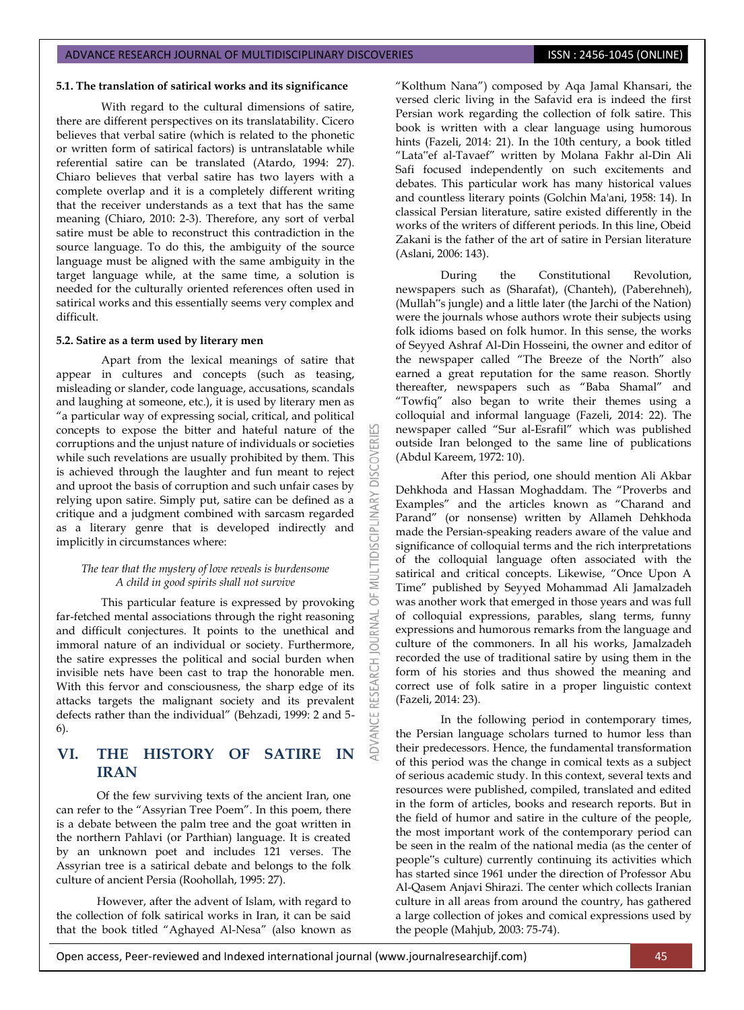## **5.1. The translation of satirical works and its significance**

With regard to the cultural dimensions of satire, there are different perspectives on its translatability. Cicero believes that verbal satire (which is related to the phonetic or written form of satirical factors) is untranslatable while referential satire can be translated (Atardo, 1994: 27). Chiaro believes that verbal satire has two layers with a complete overlap and it is a completely different writing that the receiver understands as a text that has the same meaning (Chiaro, 2010: 2-3). Therefore, any sort of verbal satire must be able to reconstruct this contradiction in the source language. To do this, the ambiguity of the source language must be aligned with the same ambiguity in the target language while, at the same time, a solution is needed for the culturally oriented references often used in satirical works and this essentially seems very complex and difficult.

## **5.2. Satire as a term used by literary men**

Apart from the lexical meanings of satire that appear in cultures and concepts (such as teasing, misleading or slander, code language, accusations, scandals and laughing at someone, etc.), it is used by literary men as "a particular way of expressing social, critical, and political concepts to expose the bitter and hateful nature of the corruptions and the unjust nature of individuals or societies while such revelations are usually prohibited by them. This is achieved through the laughter and fun meant to reject and uproot the basis of corruption and such unfair cases by relying upon satire. Simply put, satire can be defined as a critique and a judgment combined with sarcasm regarded as a literary genre that is developed indirectly and implicitly in circumstances where:

**DISCOVERI** 

**MULTIDISCIPLINARY** 

5 **JRNAL** 3

## *The tear that the mystery of love reveals is burdensome A child in good spirits shall not survive*

This particular feature is expressed by provoking far-fetched mental associations through the right reasoning and difficult conjectures. It points to the unethical and immoral nature of an individual or society. Furthermore, the satire expresses the political and social burden when invisible nets have been cast to trap the honorable men. With this fervor and consciousness, the sharp edge of its attacks targets the malignant society and its prevalent defects rather than the individual" (Behzadi, 1999: 2 and 5- 6).

# **VI. THE HISTORY OF SATIRE IN IRAN**

Of the few surviving texts of the ancient Iran, one can refer to the "Assyrian Tree Poem". In this poem, there is a debate between the palm tree and the goat written in the northern Pahlavi (or Parthian) language. It is created by an unknown poet and includes 121 verses. The Assyrian tree is a satirical debate and belongs to the folk culture of ancient Persia (Roohollah, 1995: 27).

However, after the advent of Islam, with regard to the collection of folk satirical works in Iran, it can be said that the book titled "Aghayed Al-Nesa" (also known as

"Kolthum Nana") composed by Aqa Jamal Khansari, the versed cleric living in the Safavid era is indeed the first Persian work regarding the collection of folk satire. This book is written with a clear language using humorous hints (Fazeli, 2014: 21). In the 10th century, a book titled "Lata"ef al-Tavaef" written by Molana Fakhr al-Din Ali Safi focused independently on such excitements and debates. This particular work has many historical values and countless literary points (Golchin Ma'ani, 1958: 14). In classical Persian literature, satire existed differently in the works of the writers of different periods. In this line, Obeid Zakani is the father of the art of satire in Persian literature (Aslani, 2006: 143).

During the Constitutional Revolution, newspapers such as (Sharafat), (Chanteh), (Paberehneh), (Mullah"s jungle) and a little later (the Jarchi of the Nation) were the journals whose authors wrote their subjects using folk idioms based on folk humor. In this sense, the works of Seyyed Ashraf Al-Din Hosseini, the owner and editor of the newspaper called "The Breeze of the North" also earned a great reputation for the same reason. Shortly thereafter, newspapers such as "Baba Shamal" and "Towfiq" also began to write their themes using a colloquial and informal language (Fazeli, 2014: 22). The newspaper called "Sur al-Esrafil" which was published outside Iran belonged to the same line of publications (Abdul Kareem, 1972: 10).

After this period, one should mention Ali Akbar Dehkhoda and Hassan Moghaddam. The "Proverbs and Examples" and the articles known as "Charand and Parand" (or nonsense) written by Allameh Dehkhoda made the Persian-speaking readers aware of the value and significance of colloquial terms and the rich interpretations of the colloquial language often associated with the satirical and critical concepts. Likewise, "Once Upon A Time" published by Seyyed Mohammad Ali Jamalzadeh was another work that emerged in those years and was full of colloquial expressions, parables, slang terms, funny expressions and humorous remarks from the language and culture of the commoners. In all his works, Jamalzadeh recorded the use of traditional satire by using them in the form of his stories and thus showed the meaning and correct use of folk satire in a proper linguistic context (Fazeli, 2014: 23).

In the following period in contemporary times, the Persian language scholars turned to humor less than their predecessors. Hence, the fundamental transformation of this period was the change in comical texts as a subject of serious academic study. In this context, several texts and resources were published, compiled, translated and edited in the form of articles, books and research reports. But in the field of humor and satire in the culture of the people, the most important work of the contemporary period can be seen in the realm of the national media (as the center of people"s culture) currently continuing its activities which has started since 1961 under the direction of Professor Abu Al-Qasem Anjavi Shirazi. The center which collects Iranian culture in all areas from around the country, has gathered a large collection of jokes and comical expressions used by the people (Mahjub, 2003: 75-74).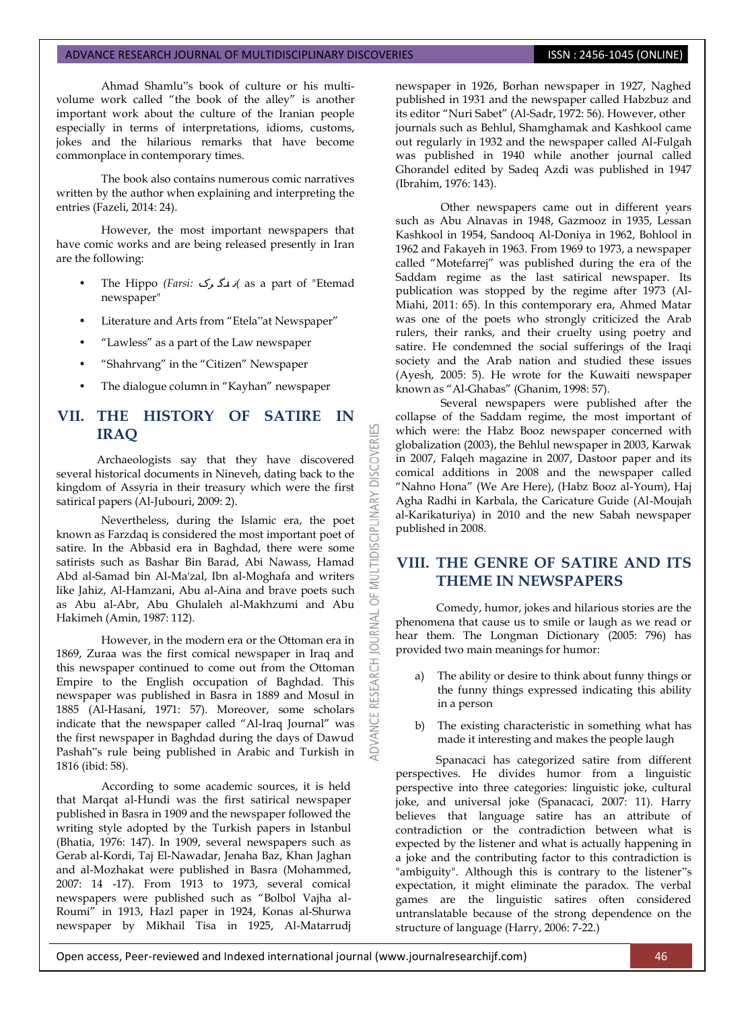Ahmad Shamlu"s book of culture or his multivolume work called "the book of the alley" is another important work about the culture of the Iranian people especially in terms of interpretations, idioms, customs, jokes and the hilarious remarks that have become commonplace in contemporary times.

The book also contains numerous comic narratives written by the author when explaining and interpreting the entries (Fazeli, 2014: 24).

However, the most important newspapers that have comic works and are being released presently in Iran are the following:

- The Hippo *(Farsi:* رک دگ <sup>ن</sup> *)*as a part of "Etemad newspaper"
- Literature and Arts from "Etela"at Newspaper"
- "Lawless" as a part of the Law newspaper
- "Shahrvang" in the "Citizen" Newspaper
- The dialogue column in "Kayhan" newspaper

# **VII. THE HISTORY OF SATIRE IN IRAQ**

53

**DISCOVERI** 

MULTIDISCIPLI

5

a

**IDVANCE** 

Archaeologists say that they have discovered several historical documents in Nineveh, dating back to the kingdom of Assyria in their treasury which were the first satirical papers (Al-Jubouri, 2009: 2).

Nevertheless, during the Islamic era, the poet known as Farzdaq is considered the most important poet of satire. In the Abbasid era in Baghdad, there were some satirists such as Bashar Bin Barad, Abi Nawass, Hamad Abd al-Samad bin Al-Ma'zal, Ibn al-Moghafa and writers like Jahiz, Al-Hamzani, Abu al-Aina and brave poets such as Abu al-Abr, Abu Ghulaleh al-Makhzumi and Abu Hakimeh (Amin, 1987: 112).

However, in the modern era or the Ottoman era in 1869, Zuraa was the first comical newspaper in Iraq and this newspaper continued to come out from the Ottoman Empire to the English occupation of Baghdad. This newspaper was published in Basra in 1889 and Mosul in 1885 (Al-Hasani, 1971: 57). Moreover, some scholars indicate that the newspaper called "Al-Iraq Journal" was the first newspaper in Baghdad during the days of Dawud Pashah"s rule being published in Arabic and Turkish in 1816 (ibid: 58).

According to some academic sources, it is held that Marqat al-Hundi was the first satirical newspaper published in Basra in 1909 and the newspaper followed the writing style adopted by the Turkish papers in Istanbul (Bhatia, 1976: 147). In 1909, several newspapers such as Gerab al-Kordi, Taj El-Nawadar, Jenaha Baz, Khan Jaghan and al-Mozhakat were published in Basra (Mohammed, 2007: 14 -17). From 1913 to 1973, several comical newspapers were published such as "Bolbol Vajha al-Roumi" in 1913, Hazl paper in 1924, Konas al-Shurwa newspaper by Mikhail Tisa in 1925, Al-Matarrudj newspaper in 1926, Borhan newspaper in 1927, Naghed published in 1931 and the newspaper called Habzbuz and its editor "Nuri Sabet" (Al-Sadr, 1972: 56). However, other journals such as Behlul, Shamghamak and Kashkool came out regularly in 1932 and the newspaper called Al-Fulgah was published in 1940 while another journal called Ghorandel edited by Sadeq Azdi was published in 1947 (Ibrahim, 1976: 143).

Other newspapers came out in different years such as Abu Alnavas in 1948, Gazmooz in 1935, Lessan Kashkool in 1954, Sandooq Al-Doniya in 1962, Bohlool in 1962 and Fakayeh in 1963. From 1969 to 1973, a newspaper called "Motefarrej" was published during the era of the Saddam regime as the last satirical newspaper. Its publication was stopped by the regime after 1973 (Al-Miahi, 2011: 65). In this contemporary era, Ahmed Matar was one of the poets who strongly criticized the Arab rulers, their ranks, and their cruelty using poetry and satire. He condemned the social sufferings of the Iraqi society and the Arab nation and studied these issues (Ayesh, 2005: 5). He wrote for the Kuwaiti newspaper known as "Al-Ghabas" (Ghanim, 1998: 57).

Several newspapers were published after the collapse of the Saddam regime, the most important of which were: the Habz Booz newspaper concerned with globalization (2003), the Behlul newspaper in 2003, Karwak in 2007, Falqeh magazine in 2007, Dastoor paper and its comical additions in 2008 and the newspaper called "Nahno Hona" (We Are Here), (Habz Booz al-Youm), Haj Agha Radhi in Karbala, the Caricature Guide (Al-Moujah al-Karikaturiya) in 2010 and the new Sabah newspaper published in 2008.

# **VIII. THE GENRE OF SATIRE AND ITS THEME IN NEWSPAPERS**

Comedy, humor, jokes and hilarious stories are the phenomena that cause us to smile or laugh as we read or hear them. The Longman Dictionary (2005: 796) has provided two main meanings for humor:

- a) The ability or desire to think about funny things or the funny things expressed indicating this ability in a person
- b) The existing characteristic in something what has made it interesting and makes the people laugh

Spanacaci has categorized satire from different perspectives. He divides humor from a linguistic perspective into three categories: linguistic joke, cultural joke, and universal joke (Spanacaci, 2007: 11). Harry believes that language satire has an attribute of contradiction or the contradiction between what is expected by the listener and what is actually happening in a joke and the contributing factor to this contradiction is "ambiguity". Although this is contrary to the listener"s expectation, it might eliminate the paradox. The verbal games are the linguistic satires often considered untranslatable because of the strong dependence on the structure of language (Harry, 2006: 7-22.)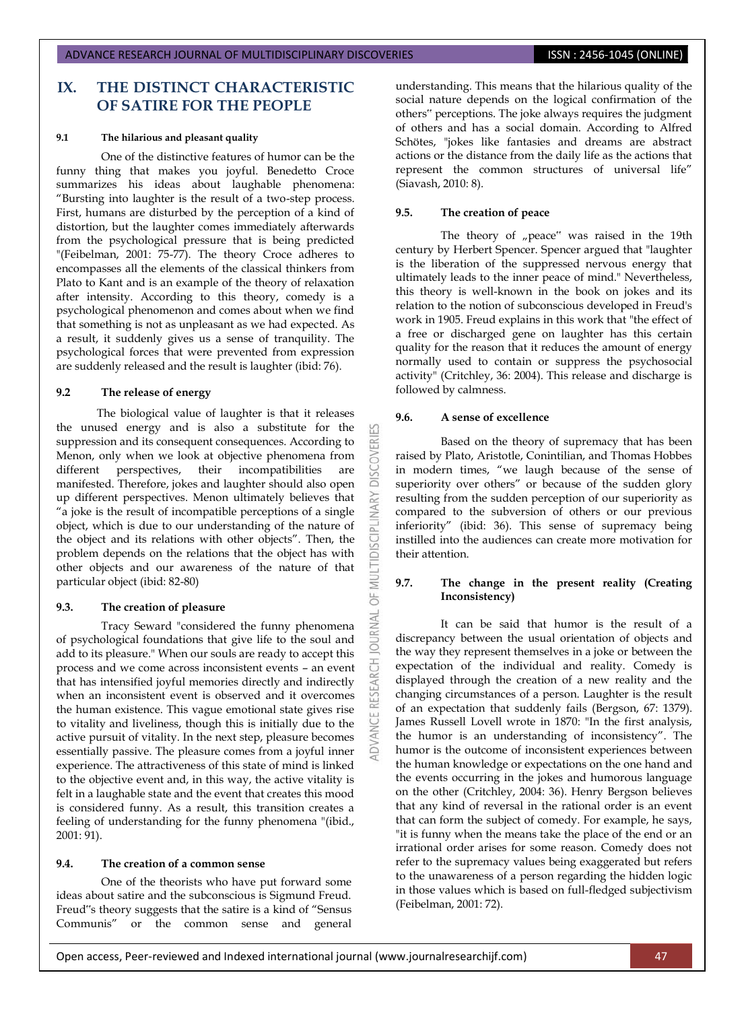# **IX. THE DISTINCT CHARACTERISTIC OF SATIRE FOR THE PEOPLE**

## **9.1 The hilarious and pleasant quality**

One of the distinctive features of humor can be the funny thing that makes you joyful. Benedetto Croce summarizes his ideas about laughable phenomena: "Bursting into laughter is the result of a two-step process. First, humans are disturbed by the perception of a kind of distortion, but the laughter comes immediately afterwards from the psychological pressure that is being predicted "(Feibelman, 2001: 75-77). The theory Croce adheres to encompasses all the elements of the classical thinkers from Plato to Kant and is an example of the theory of relaxation after intensity. According to this theory, comedy is a psychological phenomenon and comes about when we find that something is not as unpleasant as we had expected. As a result, it suddenly gives us a sense of tranquility. The psychological forces that were prevented from expression are suddenly released and the result is laughter (ibid: 76).

### **9.2 The release of energy**

The biological value of laughter is that it releases the unused energy and is also a substitute for the suppression and its consequent consequences. According to Menon, only when we look at objective phenomena from different perspectives, their incompatibilities are manifested. Therefore, jokes and laughter should also open up different perspectives. Menon ultimately believes that "a joke is the result of incompatible perceptions of a single object, which is due to our understanding of the nature of the object and its relations with other objects". Then, the problem depends on the relations that the object has with other objects and our awareness of the nature of that particular object (ibid: 82-80)

## **9.3. The creation of pleasure**

Tracy Seward "considered the funny phenomena of psychological foundations that give life to the soul and add to its pleasure." When our souls are ready to accept this process and we come across inconsistent events – an event that has intensified joyful memories directly and indirectly when an inconsistent event is observed and it overcomes the human existence. This vague emotional state gives rise to vitality and liveliness, though this is initially due to the active pursuit of vitality. In the next step, pleasure becomes essentially passive. The pleasure comes from a joyful inner experience. The attractiveness of this state of mind is linked to the objective event and, in this way, the active vitality is felt in a laughable state and the event that creates this mood is considered funny. As a result, this transition creates a feeling of understanding for the funny phenomena "(ibid., 2001: 91).

## **9.4. The creation of a common sense**

One of the theorists who have put forward some ideas about satire and the subconscious is Sigmund Freud. Freud"s theory suggests that the satire is a kind of "Sensus Communis" or the common sense and general

understanding. This means that the hilarious quality of the social nature depends on the logical confirmation of the others" perceptions. The joke always requires the judgment of others and has a social domain. According to Alfred Schötes, "jokes like fantasies and dreams are abstract actions or the distance from the daily life as the actions that represent the common structures of universal life" (Siavash, 2010: 8).

## **9.5. The creation of peace**

The theory of "peace" was raised in the 19th century by Herbert Spencer. Spencer argued that "laughter is the liberation of the suppressed nervous energy that ultimately leads to the inner peace of mind." Nevertheless, this theory is well-known in the book on jokes and its relation to the notion of subconscious developed in Freud's work in 1905. Freud explains in this work that "the effect of a free or discharged gene on laughter has this certain quality for the reason that it reduces the amount of energy normally used to contain or suppress the psychosocial activity" (Critchley, 36: 2004). This release and discharge is followed by calmness.

## **9.6. A sense of excellence**

53

**DISCOVERI** 

**IDISCIPLINARY** 

Ξ 5

**JRNAL** a

Based on the theory of supremacy that has been raised by Plato, Aristotle, Conintilian, and Thomas Hobbes in modern times, "we laugh because of the sense of superiority over others" or because of the sudden glory resulting from the sudden perception of our superiority as compared to the subversion of others or our previous inferiority" (ibid: 36). This sense of supremacy being instilled into the audiences can create more motivation for their attention.

## **9.7. The change in the present reality (Creating Inconsistency)**

It can be said that humor is the result of a discrepancy between the usual orientation of objects and the way they represent themselves in a joke or between the expectation of the individual and reality. Comedy is displayed through the creation of a new reality and the changing circumstances of a person. Laughter is the result of an expectation that suddenly fails (Bergson, 67: 1379). James Russell Lovell wrote in 1870: "In the first analysis, the humor is an understanding of inconsistency". The humor is the outcome of inconsistent experiences between the human knowledge or expectations on the one hand and the events occurring in the jokes and humorous language on the other (Critchley, 2004: 36). Henry Bergson believes that any kind of reversal in the rational order is an event that can form the subject of comedy. For example, he says, "it is funny when the means take the place of the end or an irrational order arises for some reason. Comedy does not refer to the supremacy values being exaggerated but refers to the unawareness of a person regarding the hidden logic in those values which is based on full-fledged subjectivism (Feibelman, 2001: 72).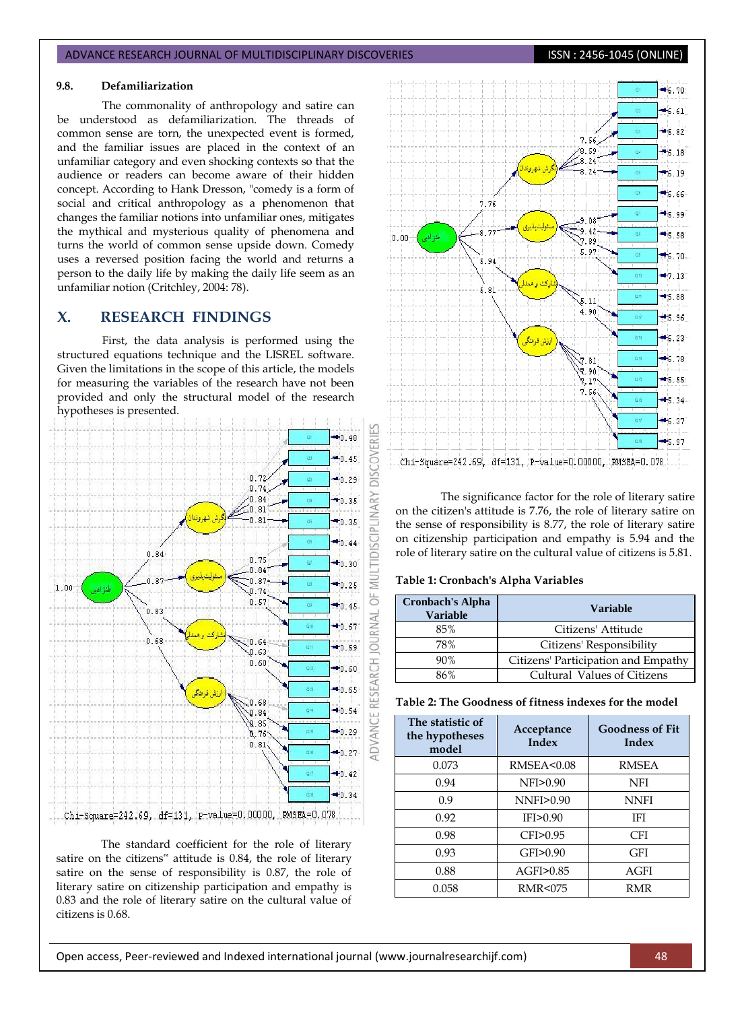## **9.8. Defamiliarization**

The commonality of anthropology and satire can be understood as defamiliarization. The threads of common sense are torn, the unexpected event is formed, and the familiar issues are placed in the context of an unfamiliar category and even shocking contexts so that the audience or readers can become aware of their hidden concept. According to Hank Dresson, "comedy is a form of social and critical anthropology as a phenomenon that changes the familiar notions into unfamiliar ones, mitigates the mythical and mysterious quality of phenomena and turns the world of common sense upside down. Comedy uses a reversed position facing the world and returns a person to the daily life by making the daily life seem as an unfamiliar notion (Critchley, 2004: 78).

# **X. RESEARCH FINDINGS**

First, the data analysis is performed using the structured equations technique and the LISREL software. Given the limitations in the scope of this article, the models for measuring the variables of the research have not been provided and only the structural model of the research hypotheses is presented.



The standard coefficient for the role of literary satire on the citizens" attitude is 0.84, the role of literary satire on the sense of responsibility is 0.87, the role of literary satire on citizenship participation and empathy is 0.83 and the role of literary satire on the cultural value of citizens is 0.68.



The significance factor for the role of literary satire on the citizen's attitude is 7.76, the role of literary satire on the sense of responsibility is 8.77, the role of literary satire on citizenship participation and empathy is 5.94 and the role of literary satire on the cultural value of citizens is 5.81.

**Table 1: Cronbach's Alpha Variables**

| <b>Cronbach's Alpha</b><br><b>Variable</b> | Variable                            |  |
|--------------------------------------------|-------------------------------------|--|
| 85%                                        | Citizens' Attitude                  |  |
| 78%                                        | Citizens' Responsibility            |  |
| 90%                                        | Citizens' Participation and Empathy |  |
| 86%                                        | Cultural Values of Citizens         |  |

| Table 2: The Goodness of fitness indexes for the model |  |  |
|--------------------------------------------------------|--|--|
|--------------------------------------------------------|--|--|

| The statistic of<br>the hypotheses<br>model | Acceptance<br>Index  | <b>Goodness of Fit</b><br>Index |
|---------------------------------------------|----------------------|---------------------------------|
| 0.073                                       | <b>RMSEA&lt;0.08</b> | <b>RMSEA</b>                    |
| 0.94                                        | NFI>0.90             | <b>NFI</b>                      |
| 0.9                                         | NNFI>0.90            | <b>NNFI</b>                     |
| 0.92                                        | IFI > 0.90           | IFI                             |
| 0.98                                        | CFI>0.95             | CFI                             |
| 0.93                                        | GFI>0.90             | GFI                             |
| 0.88                                        | AGFI>0.85            | AGFI                            |
| 0.058                                       | <b>RMR&lt;075</b>    | RMR                             |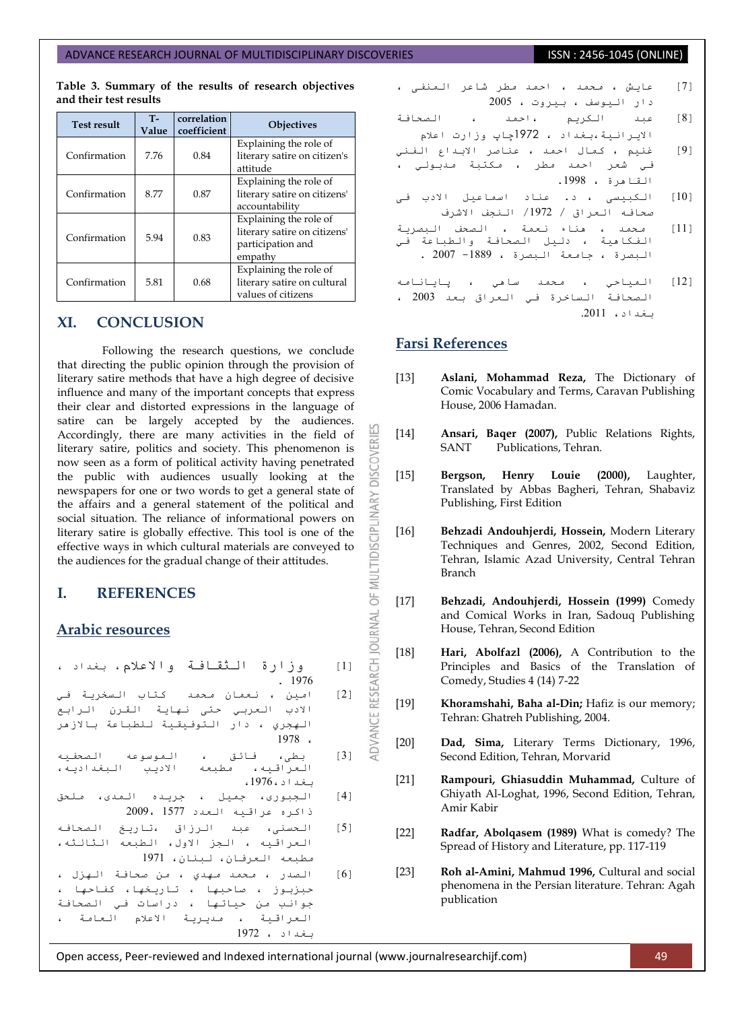**Table 3. Summary of the results of research objectives and their test results**

| <b>Test result</b> | <b>T-</b><br>Value | correlation<br>coefficient | <b>Objectives</b>                                                                      |
|--------------------|--------------------|----------------------------|----------------------------------------------------------------------------------------|
| Confirmation       | 7.76               | 0.84                       | Explaining the role of<br>literary satire on citizen's<br>attitude                     |
| Confirmation       | 8.77               | 0.87                       | Explaining the role of<br>literary satire on citizens'<br>accountability               |
| Confirmation       | 5.94               | 0.83                       | Explaining the role of<br>literary satire on citizens'<br>participation and<br>empathy |
| Confirmation       | 5.81               | 0.68                       | Explaining the role of<br>literary satire on cultural<br>values of citizens            |

# **XI. CONCLUSION**

Following the research questions, we conclude that directing the public opinion through the provision of literary satire methods that have a high degree of decisive influence and many of the important concepts that express their clear and distorted expressions in the language of satire can be largely accepted by the audiences. Accordingly, there are many activities in the field of literary satire, politics and society. This phenomenon is now seen as a form of political activity having penetrated the public with audiences usually looking at the newspapers for one or two words to get a general state of the affairs and a general statement of the political and social situation. The reliance of informational powers on literary satire is globally effective. This tool is one of the effective ways in which cultural materials are conveyed to the audiences for the gradual change of their attitudes.

# **I. REFERENCES**

# **Arabic resources**

|  | [1]       وزارة   الـثقـافـة   والاعلام، بغداد ، |        |  |
|--|--------------------------------------------------|--------|--|
|  |                                                  | . 1976 |  |

- [2] امين ، نعمان محمد كتاب السخرية في الادب العربي حتى نهاية القرن الرابع الهجري ، دار التوفيقية للطباعة بالازهر 1978 ،
- ]3[ تطی، فائك ، انًٕسٕعّ انصحفٍّ العراقيه، مطبعه الاديب البغداديه، تغذاد،1976،
- [4] الـجبوری، جميل ، جريده الـمدی، ملحق راکرِ عرالٍّ انعذد 1577 2009،
- ]5[ انحسُی، عثذ انرزاق ،تارٌخ انصحافّ العراقيه ، الجز الأول، الطبعه الثالثة، مطبعة العرفان، لبنان، 1971
- [6] الصدر ، محمد مهدي ، من صحافة الهزل ، حبزبوز ، صاحبها ، تاريخها، كفاحها ، جوانب من حياتها ، دراسات في الصحافة العراقية ، مديرية الاعلام العامة ، تغذاد ، 1972
- [7] عايش ، محمد ، احمد مطر شاعر المنفى ، دار انٍٕسف ، تٍرٔخ ، 2005
- .<br>[8] عبد الكريم ،احمد ، الصحافة االٌراٍَح،تغذاد ، 2791چاپ ٔزارخ اعالو
- .<br>[9] غُنيم ، كمال احمد ، عناصر الابتداع الفني في شعر احمد مطر ، مكتبة مدبولي القامرة ، 1998.
- ]10[ انکثٍسی ، د. عُاد اسًاعٍم االدب فی صحافّ انعراق / /1972 انُجف االشرف
- .<br>[11] محمد ، هناء نعمة ، الصحف النصرية ، د.<br>الفكاهية ، دليل الصحافـة والطباعة فـي البصرة ، جامعة البصرة ، 1889- 2007 .
- [12] المياحي ، محمد ساهي ، پايانامه انصحافح انساخرج فً انعراق تعذ 2003 ، تغذاد، .2011

# **Farsi References**

**DISCOVERI** 

ADVANCE RESEARCH JOURNAL OF MULTIDISCIPLINARY

- [13] **Aslani, Mohammad Reza,** The Dictionary of Comic Vocabulary and Terms, Caravan Publishing House, 2006 Hamadan.
- [14] **Ansari, Baqer (2007),** Public Relations Rights, SANT Publications, Tehran.
- [15] **Bergson, Henry Louie (2000),** Laughter, Translated by Abbas Bagheri, Tehran, Shabaviz Publishing, First Edition
- [16] **Behzadi Andouhjerdi, Hossein,** Modern Literary Techniques and Genres, 2002, Second Edition, Tehran, Islamic Azad University, Central Tehran Branch
- [17] **Behzadi, Andouhjerdi, Hossein (1999)** Comedy and Comical Works in Iran, Sadouq Publishing House, Tehran, Second Edition
- [18] **Hari, Abolfazl (2006),** A Contribution to the Principles and Basics of the Translation of Comedy, Studies 4 (14) 7-22
- [19] **Khoramshahi, Baha al-Din;** Hafiz is our memory; Tehran: Ghatreh Publishing, 2004.
- [20] **Dad, Sima,** Literary Terms Dictionary, 1996, Second Edition, Tehran, Morvarid
- [21] **Rampouri, Ghiasuddin Muhammad,** Culture of Ghiyath Al-Loghat, 1996, Second Edition, Tehran, Amir Kabir
- [22] **Radfar, Abolqasem (1989)** What is comedy? The Spread of History and Literature, pp. 117-119
- [23] **Roh al-Amini, Mahmud 1996,** Cultural and social phenomena in the Persian literature. Tehran: Agah publication